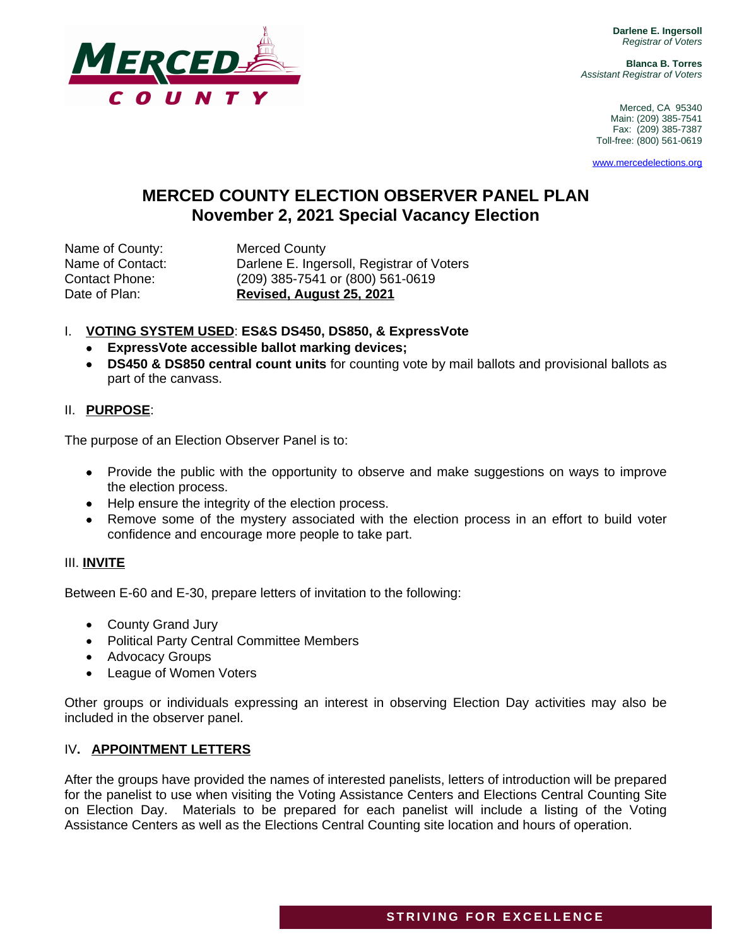**Darlene E. Ingersoll** *Registrar of Voters*

**Blanca B. Torres** *Assistant Registrar of Voters*

> Merced, CA 95340 Main: (209) 385-7541 Fax: (209) 385-7387 Toll-free: (800) 561-0619

[www.mercedelections.org](http://www.mercedelections.org)

# **MERCED COUNTY ELECTION OBSERVER PANEL PLAN November 2, 2021 Special Vacancy Election**

Name of County: Merced County

Name of Contact: Darlene E. Ingersoll, Registrar of Voters Contact Phone: (209) 385-7541 or (800) 561-0619 Date of Plan: **Revised, August 25, 2021**

## I. **VOTING SYSTEM USED**: **ES&S DS450, DS850, & ExpressVote**

- **ExpressVote accessible ballot marking devices;**
- **DS450 & DS850 central count units** for counting vote by mail ballots and provisional ballots as part of the canvass.

### II. **PURPOSE**:

The purpose of an Election Observer Panel is to:

- Provide the public with the opportunity to observe and make suggestions on ways to improve the election process.
- Help ensure the integrity of the election process.
- Remove some of the mystery associated with the election process in an effort to build voter confidence and encourage more people to take part.

### III. **INVITE**

Between E-60 and E-30, prepare letters of invitation to the following:

- County Grand Jury
- Political Party Central Committee Members
- Advocacy Groups
- League of Women Voters

Other groups or individuals expressing an interest in observing Election Day activities may also be included in the observer panel.

#### IV**. APPOINTMENT LETTERS**

After the groups have provided the names of interested panelists, letters of introduction will be prepared for the panelist to use when visiting the Voting Assistance Centers and Elections Central Counting Site on Election Day. Materials to be prepared for each panelist will include a listing of the Voting Assistance Centers as well as the Elections Central Counting site location and hours of operation.

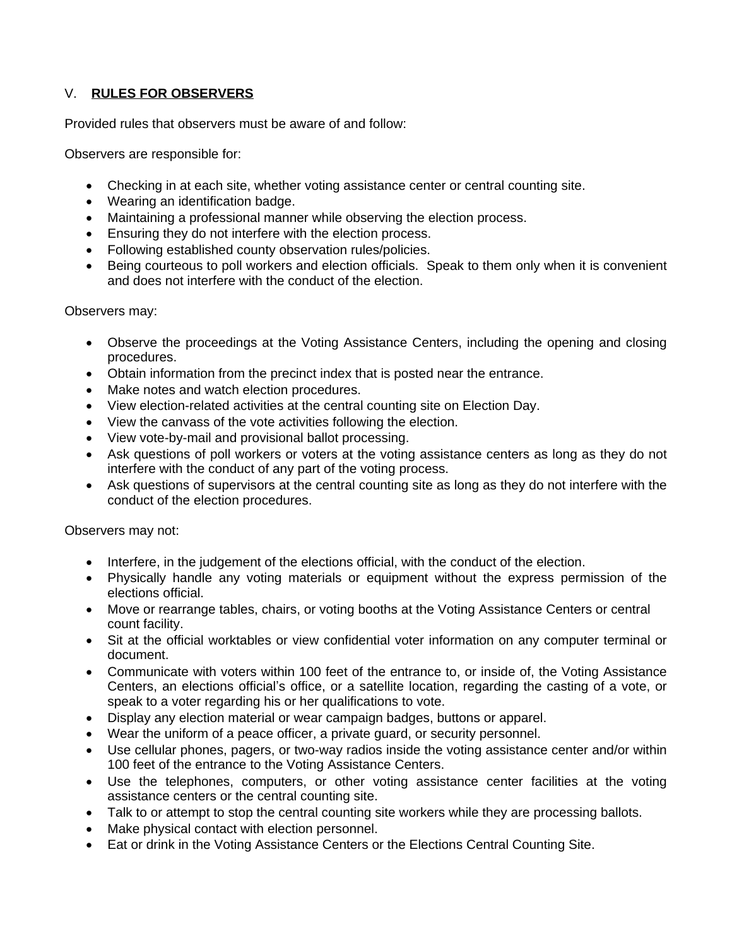# V. **RULES FOR OBSERVERS**

Provided rules that observers must be aware of and follow:

Observers are responsible for:

- Checking in at each site, whether voting assistance center or central counting site.
- Wearing an identification badge.
- Maintaining a professional manner while observing the election process.
- Ensuring they do not interfere with the election process.
- Following established county observation rules/policies.
- Being courteous to poll workers and election officials. Speak to them only when it is convenient and does not interfere with the conduct of the election.

Observers may:

- Observe the proceedings at the Voting Assistance Centers, including the opening and closing procedures.
- Obtain information from the precinct index that is posted near the entrance.
- Make notes and watch election procedures.
- View election-related activities at the central counting site on Election Day.
- View the canvass of the vote activities following the election.
- View vote-by-mail and provisional ballot processing.
- Ask questions of poll workers or voters at the voting assistance centers as long as they do not interfere with the conduct of any part of the voting process.
- Ask questions of supervisors at the central counting site as long as they do not interfere with the conduct of the election procedures.

Observers may not:

- Interfere, in the judgement of the elections official, with the conduct of the election.
- Physically handle any voting materials or equipment without the express permission of the elections official.
- Move or rearrange tables, chairs, or voting booths at the Voting Assistance Centers or central count facility.
- Sit at the official worktables or view confidential voter information on any computer terminal or document.
- Communicate with voters within 100 feet of the entrance to, or inside of, the Voting Assistance Centers, an elections official's office, or a satellite location, regarding the casting of a vote, or speak to a voter regarding his or her qualifications to vote.
- Display any election material or wear campaign badges, buttons or apparel.
- Wear the uniform of a peace officer, a private guard, or security personnel.
- Use cellular phones, pagers, or two-way radios inside the voting assistance center and/or within 100 feet of the entrance to the Voting Assistance Centers.
- Use the telephones, computers, or other voting assistance center facilities at the voting assistance centers or the central counting site.
- Talk to or attempt to stop the central counting site workers while they are processing ballots.
- Make physical contact with election personnel.
- Eat or drink in the Voting Assistance Centers or the Elections Central Counting Site.